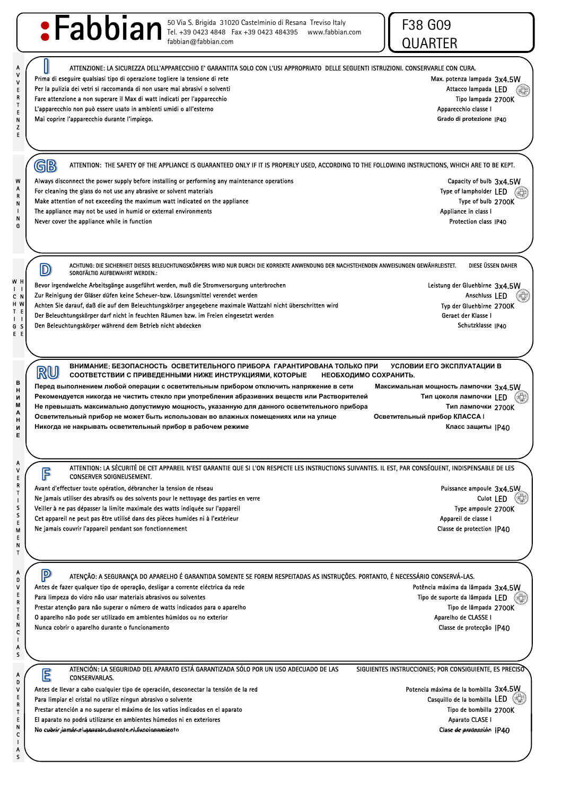## F38 G09 QUARTER Per la pulizia dei vetri si raccomanda di non usare mai abrasivi o solventi Prima di eseguire qualsiasi tipo di operazione togliere la tensione di rete 50 Via S. Brigida 31020 Castelminio di Resana Treviso Italy Tel. +39 0423 4848 Fax +39 0423 484395 www.fabbian.com fabbian@fabbian.com A V V E R ATTENZIONE: LA SICUREZZA DELL'APPARECCHIO E' GARANTITA SOLO CON L'USI APPROPRIATO DELLE SEGUENTI ISTRUZIONI. CONSERVARLE CON CURA.

Fare attenzione a non superare il Max di watt indicati per l'apparecchio L'apparecchio non può essere usato in ambienti umidi o all'esterno

Mai coprire l'apparecchio durante l'impiego.

Max. potenza lampada 3x4.5W Attacco lampada LED ● Tipo lampada 2700K Apparecchio classe I Grado di protezione IP40

> Type of lampholder LED Type of bulb 2700K

> > Protection class IP40

Appliance in class I

Leistung der Gluehbirne 3x4.5W<br>4) Anschluss LED

Typ der Gluehbirne 2700K Geraet der Klasse I

(中)

Schutzklasse <sub>IP40</sub>

GB ATTENTION: THE SAFETY OF THE APPLIANCE IS GUARANTEED ONLY IF IT IS PROPERLY USED, ACCORDING TO THE FOLLOWING INSTRUCTIONS, WHICH ARE TO BE KEPT.

- Always disconnect the power supply before installing or performing any maintenance operations Capacity of bulb 3x4.5W
- For cleaning the glass do not use any abrasive or solvent materials
- Make attention of not exceeding the maximum watt indicated on the appliance
- The appliance may not be used in humid or external environments
- Never cover the appliance while in function

ACHTUNG: DIE SICHERHEIT DIESES BELEUCHTUNGSKÖRPERS WIRD NUR DURCH DIE KORREKTE ANWENDUNG DER NACHSTEHENDEN ANWEISUNGEN GEWÄHRLEISTET. DIESE ÜSSEN DAHER SORGFÄLTIG AUFBEWAHRT WERDEN.:

Zur Reinigung der Gläser düfen keine Scheuer-bzw. Lösungsmittel verendet werden Der Beleuchtungskörper darf nicht in feuchten Räumen bzw. im Freien eingesetzt werden Bevor irgendwelche Arbeitsgänge ausgeführt werden, muß die Stromversorgung unterbrochen Achten Sie darauf, daß die auf dem Beleuchtungskörper angegebene maximale Wattzahl nicht überschritten wird

Den Beleuchtungskörper während dem Betrieb nicht abdecken

**ВНИМАНИЕ**: **БЕЗОПАСНОСТЬ ОСВЕТИТЕЛЬНОГО ПРИБОРА ГАРАНТИРОВАНА ТОЛЬКО ПРИ УСЛОВИИ ЕГО ЭКСПЛУАТАЦИИ В RU СООТВЕТСТВИИ С ПРИВЕДЕННЫМИ НИЖЕ ИНСТРУКЦИЯМИ**, **КОТОРЫЕ НЕОБХОДИМО СОХРАНИТЬ**. **Перед выполнением любой операции с осветительным прибором отключить напряжение в сети Максимальная мощность лампочки** 3x4.5W **Рекомендуется никогда не чистить стекло при употребления абразивних веществ или Растворителей Тип цоколя лампочки** LED

**Не превышать максимально допустимую мощность**, **указанную для данного осветительного прибора Тип лампочки** 2700K **Осветительный прибор не может быть использован во влажных помещениях или на улице Никогда не накрывать осветительный прибор в рабочем режиме Класс защиты** IP40

ATTENTION: LA SÉCURITÉ DE CET APPAREIL N'EST GARANTIE QUE SI L'ON RESPECTE LES INSTRUCTIONS SUIVANTES. IL EST, PAR CONSÉQUENT, INDISPENSABLE DE LES CONSERVER SOIGNEUSEMENT.

ATENÇÃO: A SEGURANÇA DO APARELHO É GARANTIDA SOMENTE SE FOREM RESPEITADAS AS INSTRUÇÕES. PORTANTO, É NECESSÁRIO CONSERVÁ-LAS.

Avant d'effectuer toute opération, débrancher la tension de réseau en exerce en exerce ampoule 3x4.5W<br>Ne jamais utiliser des abrasifs ou des solvents pour le nettoyage des parties en verre en exerce en exerce de pu Ne jamais utiliser des abrasifs ou des solvents pour le nettoyage des parties en verre comme controller des par<br>Veiller à ne pas dépasser la limite maximale des watts indiquée sur l'appareil comme comme comme comme comme d Veiller à ne pas dépasser la limite maximale des watts indiquée sur l'appareil Cet appareil ne peut pas être utilisé dans des pièces humides ni à l'extérieur Appareil de classe I Appareil de classe I Ne jamais couvrir l'appareil pendant son fonctionnement Classe de protection IP40

Antes de fazer qualquer tipo de operação, desligar a corrente eléctrica da rede

Prestar atenção para não superar o número de watts indicados para o aparelho

O aparelho não pode ser utilizado em ambientes húmidos ou no exterior

Para limpeza do vidro não usar materiais abrasivos ou solventes

Nunca cobrir o aparelho durante o funcionamento

ATENCIÓN: LA SEGURIDAD DEL APARATO ESTÁ GARANTIZADA SÓLO POR UN USO ADECUADO DE LAS SIGUIENTES INSTRUCCIONES; POR CONSIGUIENTE, ES PRECISO

CONSERVARLAS.

El aparato no podrá utilizarse en ambientes húmedos ni en exteriores Para limpiar el cristal no utilize ningun abrasivo o solvente Prestar atención a no superar el máximo de los vatios indicados en el aparato No cubrir jamás el aparato durante el funcionamiento No cubrir jamás el aparato durante el funcionamiento Clase de protección IP40 <sup>C</sup> Antes de llevar a cabo cualquier tipo de operación, desconectar la tensión de la red

**Осветительный прибор КЛАССА** I

Potencia máxima de la bombilla 3x4.5W Casquillo de la bombilla LED Tipo de bombilla 2700K Aparato CLASE I Clase de protección IP40

Potência máxima da lâmpada 3x4.5W Tipo de suporte da lâmpada LED Tipo de lâmpada 2700K

> Aparelho de CLASSE I Classe de protecção IP40

W A R N I N G

W H I C H T I G E

I N W E I S E

 $\mathsf{D}$ 

A A D V E R T Ê N C I A S S S E M E N T

A V E R T I

孒

D

E

**В Н И М А Н И Е**

D V E R T E  $\overline{N}$ I A

S

T E N Z E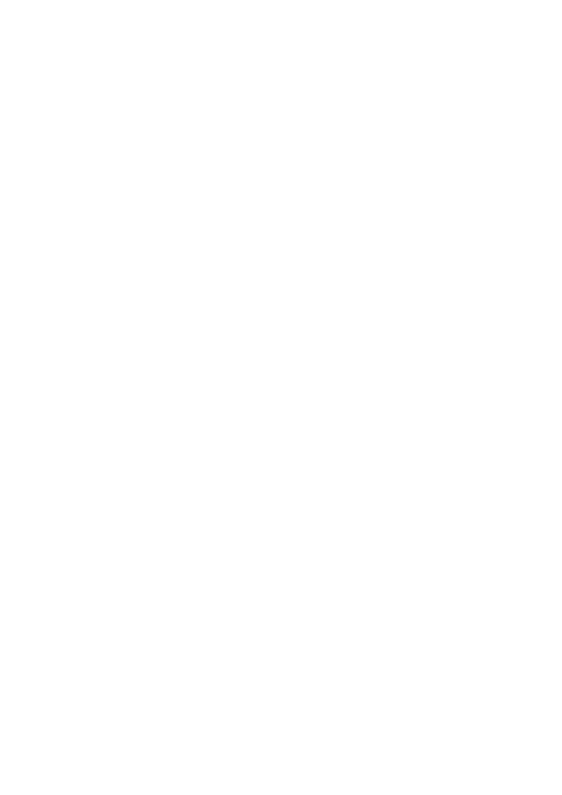